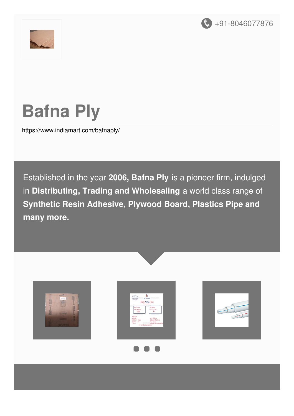



# **Bafna Ply**

<https://www.indiamart.com/bafnaply/>

Established in the year **2006, Bafna Ply** is a pioneer firm, indulged in **Distributing, Trading and Wholesaling** a world class range of **Synthetic Resin Adhesive, Plywood Board, Plastics Pipe and many more.**







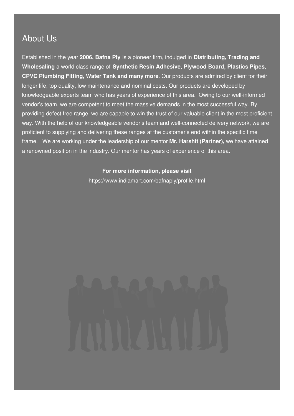#### About Us

Established in the year **2006, Bafna Ply** is a pioneer firm, indulged in **Distributing, Trading and Wholesaling** a world class range of **Synthetic Resin Adhesive, Plywood Board, Plastics Pipes, CPVC Plumbing Fitting, Water Tank and many more**. Our products are admired by client for their longer life, top quality, low maintenance and nominal costs. Our products are developed by knowledgeable experts team who has years of experience of this area. Owing to our well-informed vendor's team, we are competent to meet the massive demands in the most successful way. By providing defect free range, we are capable to win the trust of our valuable client in the most proficient way. With the help of our knowledgeable vendor's team and well-connected delivery network, we are proficient to supplying and delivering these ranges at the customer's end within the specific time frame. We are working under the leadership of our mentor **Mr. Harshit (Partner),** we have attained a renowned position in the industry. Our mentor has years of experience of this area.

#### **For more information, please visit**

<https://www.indiamart.com/bafnaply/profile.html>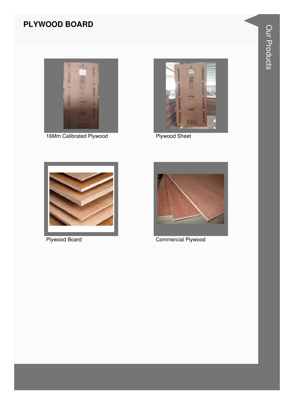#### **PLYWOOD BOARD**



16Mm Calibrated Plywood



**Plywood Sheet** 



**Plywood Board** 



**Commercial Plywood**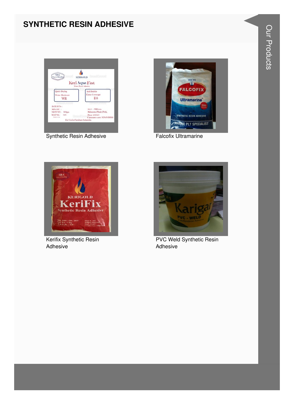#### **SYNTHETIC RESIN ADHESIVE**



Synthetic Resin Adhesive



**Falcofix Ultramarine** 



Kerifix Synthetic Resin Adhesive



**PVC Weld Synthetic Resin** Adhesive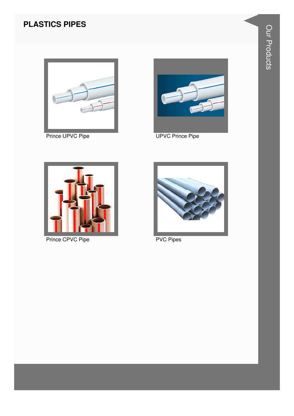#### **PLASTICS PIPES**



Prince UPVC Pipe



**UPVC Prince Pipe** 



Prince CPVC Pipe



**PVC Pipes**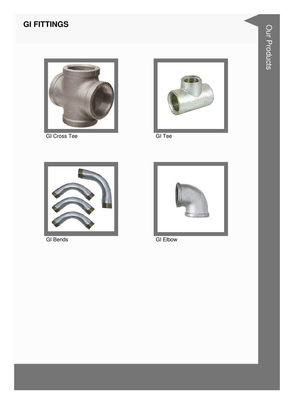### **GI FITTINGS**



**GI Cross Tee** 



GI Tee



**GI** Bends



**GI Elbow**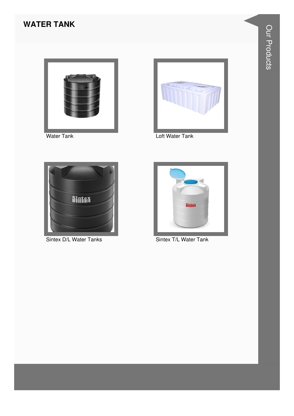#### **WATER TANK**



**Water Tank** 



Loft Water Tank



Sintex D/L Water Tanks



Sintex T/L Water Tank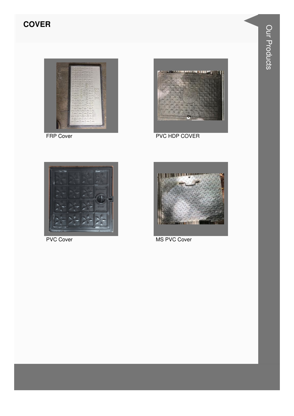#### **COVER**





FRP Cover **PVC HDP COVER** 





PVC Cover MS PVC Cover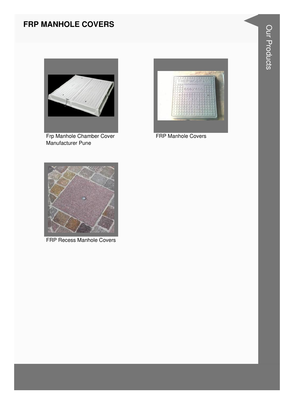#### **FRP MANHOLE COVERS**



Frp Manhole Chamber Cover Manufacturer Pune



FRP Manhole Covers



FRP Recess Manhole Covers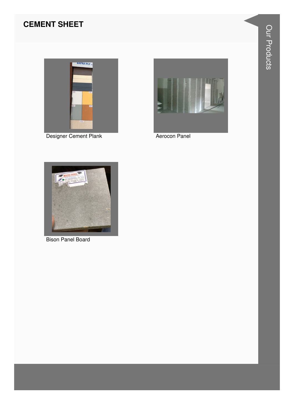#### **CEMENT SHEET**



Designer Cement Plank



Aerocon Panel



**Bison Panel Board**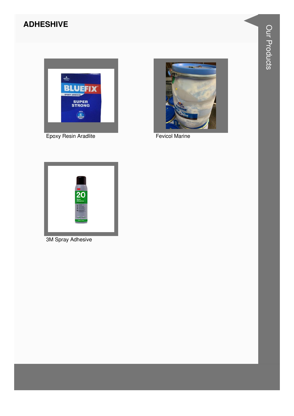#### **ADHESHIVE**



Epoxy Resin Aradlite



**Fevicol Marine** 



3M Spray Adhesive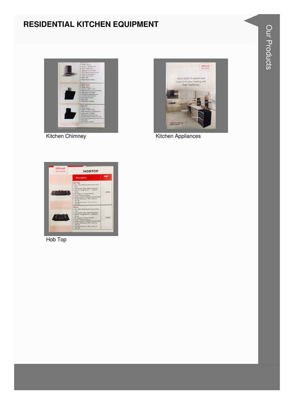#### **RESIDENTIAL KITCHEN EQUIPMENT**



**Kitchen Chimney** 



**Kitchen Appliances** 



Hob Top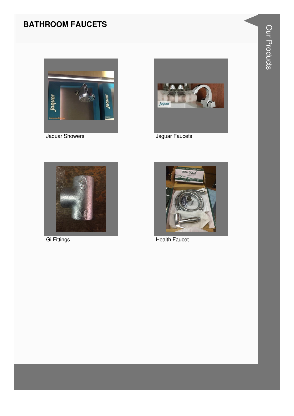#### **BATHROOM FAUCETS**



Jaquar Showers



Jaguar Faucets



**Gi Fittings** 



**Health Faucet**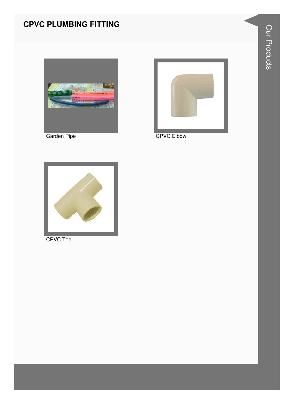#### **CPVC PLUMBING FITTING**



Garden Pipe



**CPVC Elbow** 



CPVC Tee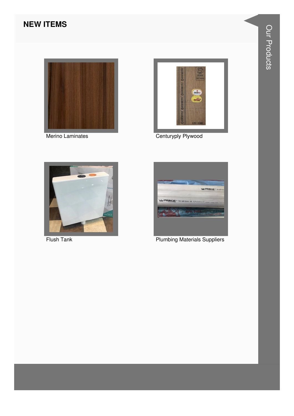#### **NEW ITEMS**



Merino Laminates



Centuryply Plywood



**Flush Tank** 



**Plumbing Materials Suppliers**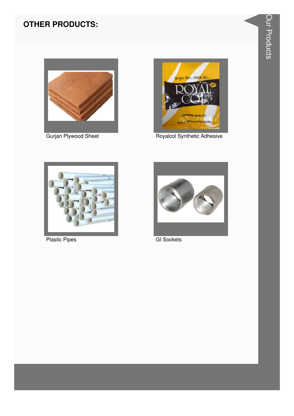

Gurjan Plywood Sheet



Royalcol Synthetic Adhesive



**Plastic Pipes** 



**GI Sockets**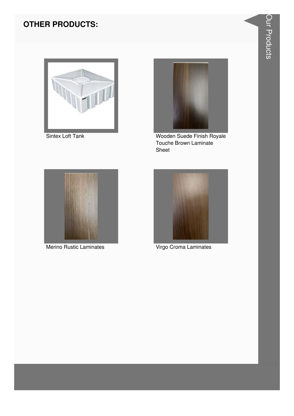

Sintex Loft Tank



Wooden Suede Finish Royale Touche Brown Laminate Sheet



Merino Rustic Laminates



Virgo Croma Laminates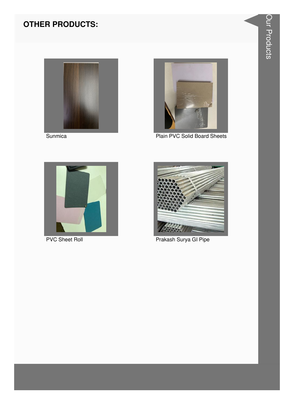



Plain PVC Solid Board Sheets



**PVC Sheet Roll** 



Prakash Surya GI Pipe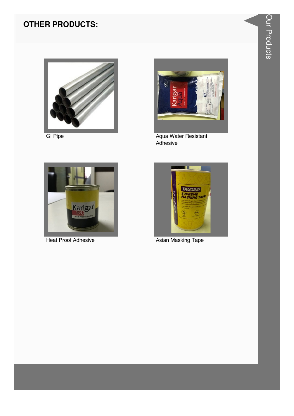

**GI Pipe** 



Aqua Water Resistant<br>Adhesive



**Heat Proof Adhesive** 



**Asian Masking Tape**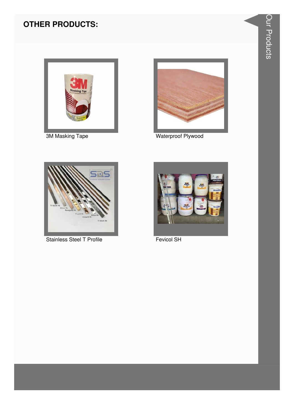

**3M Masking Tape** 



Waterproof Plywood



Stainless Steel T Profile



Fevicol SH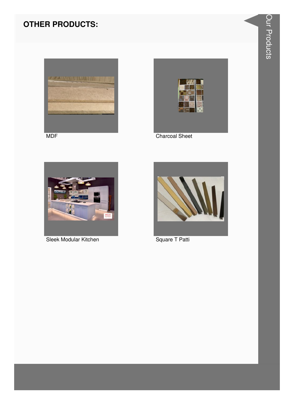



**Charcoal Sheet** 



Sleek Modular Kitchen



Square T Patti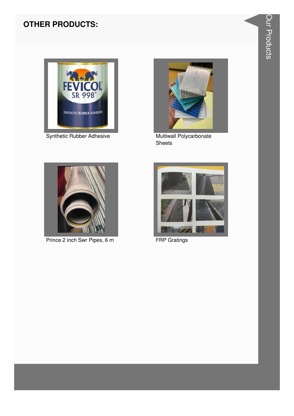

Synthetic Rubber Adhesive



Multiwall Polycarbonate Sheets



Prince 2 inch Swr Pipes, 6 m



**FRP Gratings**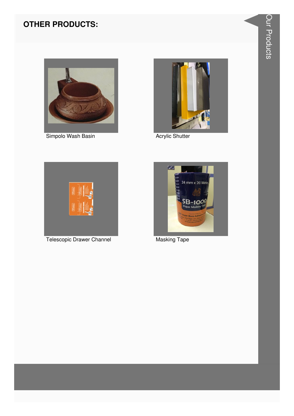

Simpolo Wash Basin



**Acrylic Shutter** 



Telescopic Drawer Channel



**Masking Tape**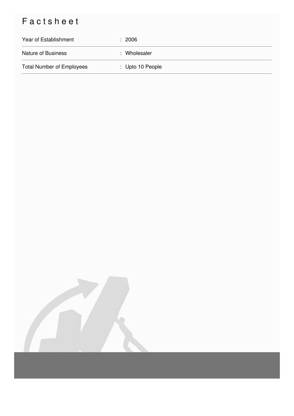## Factsheet

| Year of Establishment            | : 2006           |
|----------------------------------|------------------|
| <b>Nature of Business</b>        | : Wholesaler     |
| <b>Total Number of Employees</b> | : Upto 10 People |